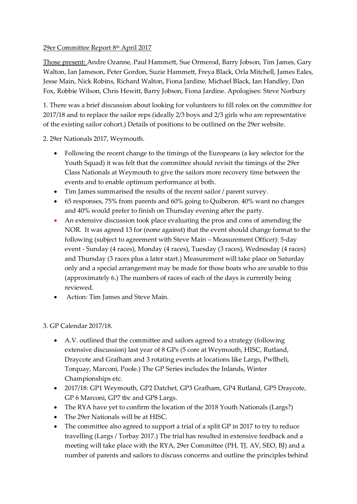## 29er Committee Report 8 th April 2017

Those present: Andre Ozanne, Paul Hammett, Sue Ormerod, Barry Jobson, Tim James, Gary Walton, Ian Jameson, Peter Gordon, Suzie Hammett, Freya Black, Orla Mitchell, James Eales, Jesse Main, Nick Robins, Richard Walton, Fiona Jardine, Michael Black, Ian Handley, Dan Fox, Robbie Wilson, Chris Hewitt, Barry Jobson, Fiona Jardine. Apologises: Steve Norbury

1. There was a brief discussion about looking for volunteers to fill roles on the committee for 2017/18 and to replace the sailor reps (ideally 2/3 boys and 2/3 girls who are representative of the existing sailor cohort.) Details of positions to be outlined on the 29er website.

2. 29er Nationals 2017, Weymouth.

- Following the recent change to the timings of the Europeans (a key selector for the Youth Squad) it was felt that the committee should revisit the timings of the 29er Class Nationals at Weymouth to give the sailors more recovery time between the events and to enable optimum performance at both.
- Tim James summarised the results of the recent sailor / parent survey.
- 65 responses, 75% from parents and 60% going to Quiberon. 40% want no changes and 40% would prefer to finish on Thursday evening after the party.
- An extensive discussion took place evaluating the pros and cons of amending the NOR. It was agreed 13 for (none against) that the event should change format to the following (subject to agreement with Steve Main – Measurement Officer): 5-day event - Sunday (4 races), Monday (4 races), Tuesday (3 races), Wednesday (4 races) and Thursday (3 races plus a later start.) Measurement will take place on Saturday only and a special arrangement may be made for those boats who are unable to this (approximately 6.) The numbers of races of each of the days is currently being reviewed.
- Action: Tim James and Steve Main.

3. GP Calendar 2017/18.

- A.V. outlined that the committee and sailors agreed to a strategy (following extensive discussion) last year of 8 GPs (5 core at Weymouth, HISC, Rutland, Draycote and Grafham and 3 rotating events at locations like Largs, Pwllheli, Torquay, Marconi, Poole.) The GP Series includes the Inlands, Winter Championships etc.
- 2017/18: GP1 Weymouth, GP2 Datchet, GP3 Grafham, GP4 Rutland, GP5 Draycote, GP 6 Marconi, GP7 tbc and GP8 Largs.
- The RYA have yet to confirm the location of the 2018 Youth Nationals (Largs?)
- The 29er Nationals will be at HISC.
- The committee also agreed to support a trial of a split GP in 2017 to try to reduce travelling (Largs / Torbay 2017.) The trial has resulted in extensive feedback and a meeting will take place with the RYA, 29er Committee (PH, TJ, AV, SEO, BJ) and a number of parents and sailors to discuss concerns and outline the principles behind